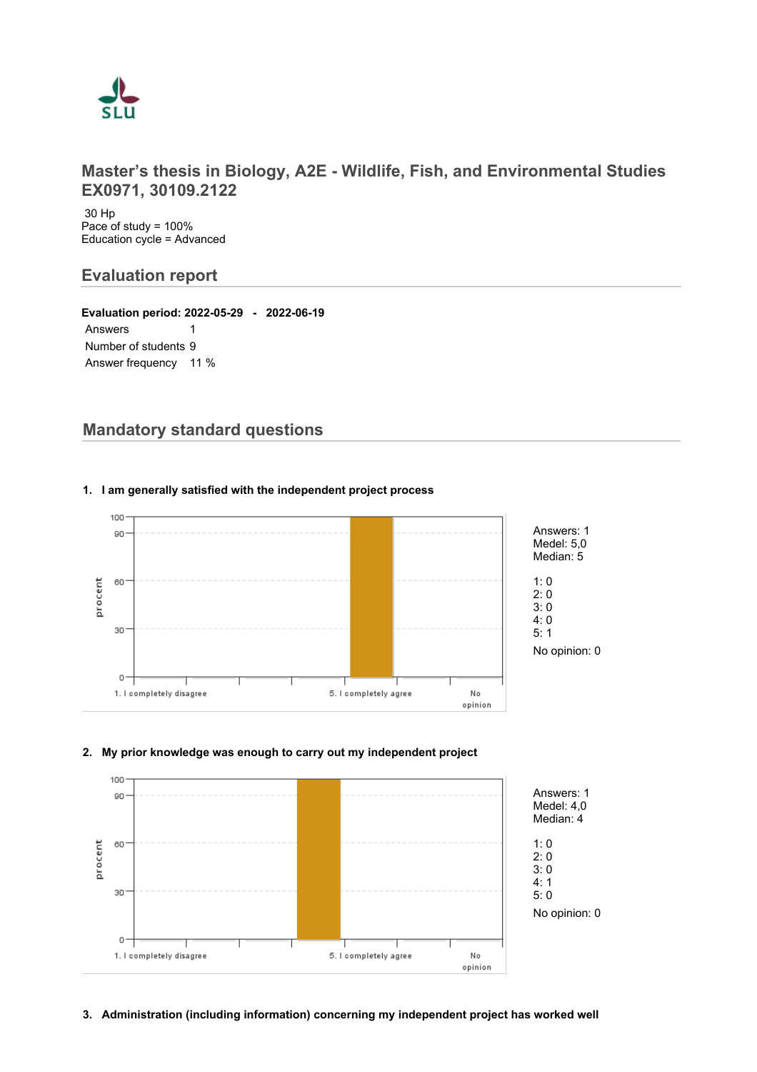

# **Master's thesis in Biology, A2E - Wildlife, Fish, and Environmental Studies EX0971, 30109.2122**

 30 Hp Pace of study = 100% Education cycle = Advanced

# **Evaluation report**

**Evaluation period: 2022-05-29 - 2022-06-19** Answers 1 Number of students 9 Answer frequency 11 %

# **Mandatory standard questions**



## **1. I am generally satisfied with the independent project process**

#### **2. My prior knowledge was enough to carry out my independent project**

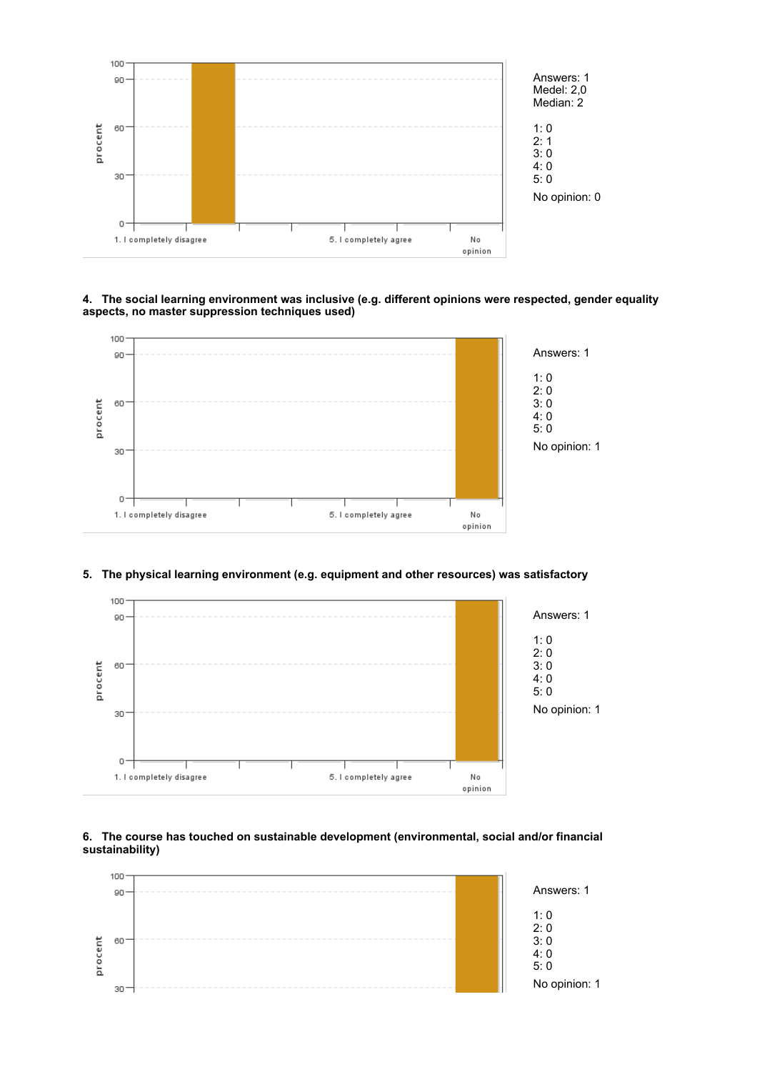

#### **4. The social learning environment was inclusive (e.g. different opinions were respected, gender equality aspects, no master suppression techniques used)**



#### **5. The physical learning environment (e.g. equipment and other resources) was satisfactory**



#### **6. The course has touched on sustainable development (environmental, social and/or financial sustainability)**

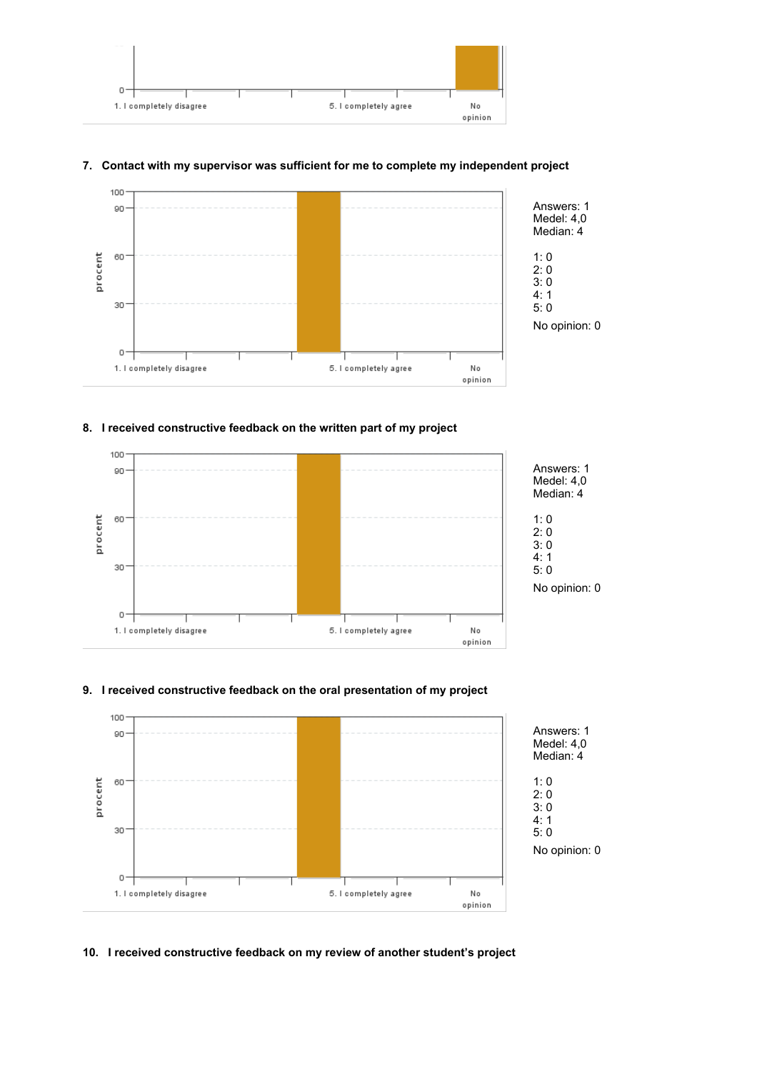

## **7. Contact with my supervisor was sufficient for me to complete my independent project**



## **8. I received constructive feedback on the written part of my project**



# **9. I received constructive feedback on the oral presentation of my project**



#### **10. I received constructive feedback on my review of another student's project**